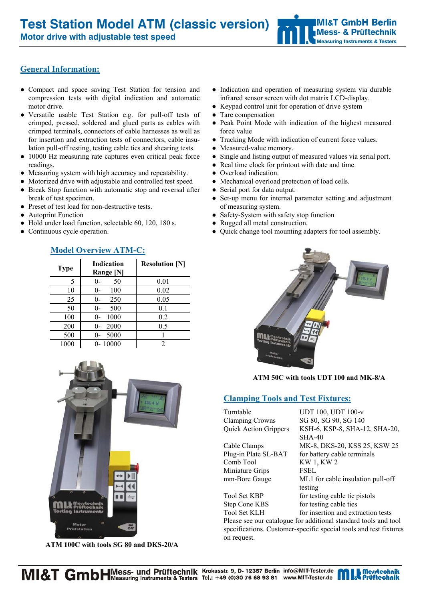**Motor drive with adjustable test speed** 

## **General Information:**

- Compact and space saving Test Station for tension and compression tests with digital indication and automatic motor drive.
- Versatile usable Test Station e.g. for pull-off tests of crimped, pressed, soldered and glued parts as cables with crimped terminals, connectors of cable harnesses as well as for insertion and extraction tests of connectors, cable insulation pull-off testing, testing cable ties and shearing tests.
- 10000 Hz measuring rate captures even critical peak force readings.
- Measuring system with high accuracy and repeatability.
- Motorized drive with adjustable and controlled test speed
- Break Stop function with automatic stop and reversal after break of test specimen.
- Preset of test load for non-destructive tests.
- **Autoprint Function**
- Hold under load function, selectable 60, 120, 180 s.
- Continuous cycle operation.

| <b>Type</b> | <b>Indication</b><br>Range [N] | <b>Resolution [N]</b> |
|-------------|--------------------------------|-----------------------|
| 5           | 50                             | 0.01                  |
| 10          | 100<br>()-                     | 0.02                  |
| 25          | 250                            | 0.05                  |
| 50          | 500                            | 0.1                   |
| 100         | 1000                           | 0.2                   |
| 200         | 2000                           | 0.5                   |
| 500         | 5000                           |                       |
| 1000        | $0 - 10000$                    | 2                     |

## **Model Overview ATM-C:**



 **ATM 100C with tools SG 80 and DKS-20/A** 

- Indication and operation of measuring system via durable infrared sensor screen with dot matrix LCD-display.
- Keypad control unit for operation of drive system
- Tare compensation
- Peak Point Mode with indication of the highest measured force value
- Tracking Mode with indication of current force values.
- Measured-value memory.
- Single and listing output of measured values via serial port.
- Real time clock for printout with date and time.
- Overload indication.
- Mechanical overload protection of load cells.
- Serial port for data output.
- Set-up menu for internal parameter setting and adjustment of measuring system.
- Safety-System with safety stop function
- Rugged all metal construction.
- Quick change tool mounting adapters for tool assembly.



**ATM 50C with tools UDT 100 and MK-8/A** 

# **Clamping Tools and Test Fixtures:**

| Turntable                    | <b>UDT 100, UDT 100-v</b>                                       |
|------------------------------|-----------------------------------------------------------------|
| <b>Clamping Crowns</b>       | SG 80, SG 90, SG 140                                            |
| <b>Quick Action Grippers</b> | KSH-6, KSP-8, SHA-12, SHA-20,                                   |
|                              | $SHA-40$                                                        |
| Cable Clamps                 | MK-8, DKS-20, KSS 25, KSW 25                                    |
| Plug-in Plate SL-BAT         | for battery cable terminals                                     |
| Comb Tool                    | <b>KW1, KW2</b>                                                 |
| Miniature Grips              | FSEL                                                            |
| mm-Bore Gauge                | ML1 for cable insulation pull-off                               |
|                              | testing                                                         |
| Tool Set KBP                 | for testing cable tie pistols                                   |
| Step Cone KBS                | for testing cable ties                                          |
| Tool Set KLH                 | for insertion and extraction tests                              |
|                              | Please see our catalogue for additional standard tools and tool |
|                              |                                                                 |

specifications. Customer-specific special tools and test fixtures on request.